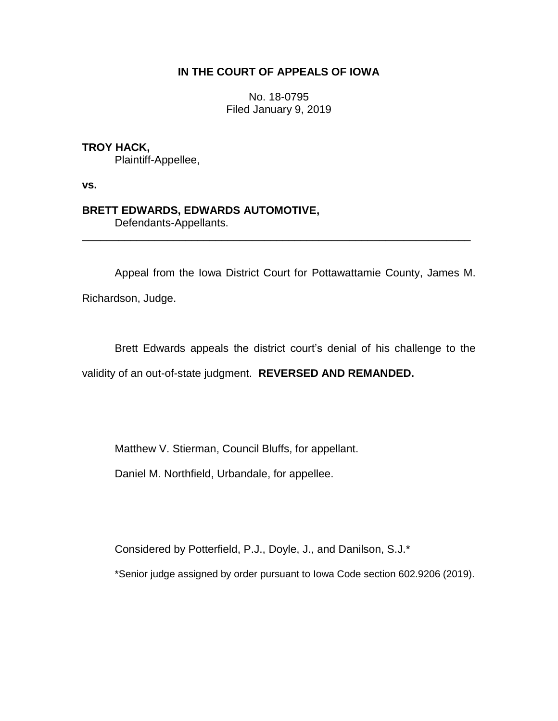## **IN THE COURT OF APPEALS OF IOWA**

No. 18-0795 Filed January 9, 2019

## **TROY HACK,**

Plaintiff-Appellee,

**vs.**

## **BRETT EDWARDS, EDWARDS AUTOMOTIVE,**

Defendants-Appellants.

Appeal from the Iowa District Court for Pottawattamie County, James M.

\_\_\_\_\_\_\_\_\_\_\_\_\_\_\_\_\_\_\_\_\_\_\_\_\_\_\_\_\_\_\_\_\_\_\_\_\_\_\_\_\_\_\_\_\_\_\_\_\_\_\_\_\_\_\_\_\_\_\_\_\_\_\_\_

Richardson, Judge.

Brett Edwards appeals the district court's denial of his challenge to the validity of an out-of-state judgment. **REVERSED AND REMANDED.**

Matthew V. Stierman, Council Bluffs, for appellant.

Daniel M. Northfield, Urbandale, for appellee.

Considered by Potterfield, P.J., Doyle, J., and Danilson, S.J.\*

\*Senior judge assigned by order pursuant to Iowa Code section 602.9206 (2019).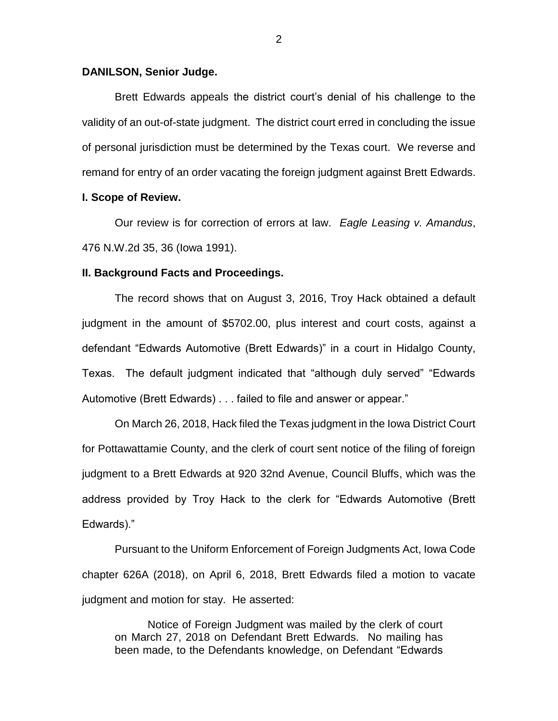#### **DANILSON, Senior Judge.**

Brett Edwards appeals the district court's denial of his challenge to the validity of an out-of-state judgment. The district court erred in concluding the issue of personal jurisdiction must be determined by the Texas court. We reverse and remand for entry of an order vacating the foreign judgment against Brett Edwards.

#### **I. Scope of Review.**

Our review is for correction of errors at law. *Eagle Leasing v. Amandus*, 476 N.W.2d 35, 36 (Iowa 1991).

#### **II. Background Facts and Proceedings.**

The record shows that on August 3, 2016, Troy Hack obtained a default judgment in the amount of \$5702.00, plus interest and court costs, against a defendant "Edwards Automotive (Brett Edwards)" in a court in Hidalgo County, Texas. The default judgment indicated that "although duly served" "Edwards Automotive (Brett Edwards) . . . failed to file and answer or appear."

On March 26, 2018, Hack filed the Texas judgment in the Iowa District Court for Pottawattamie County, and the clerk of court sent notice of the filing of foreign judgment to a Brett Edwards at 920 32nd Avenue, Council Bluffs, which was the address provided by Troy Hack to the clerk for "Edwards Automotive (Brett Edwards)."

Pursuant to the Uniform Enforcement of Foreign Judgments Act, Iowa Code chapter 626A (2018), on April 6, 2018, Brett Edwards filed a motion to vacate judgment and motion for stay. He asserted:

Notice of Foreign Judgment was mailed by the clerk of court on March 27, 2018 on Defendant Brett Edwards. No mailing has been made, to the Defendants knowledge, on Defendant "Edwards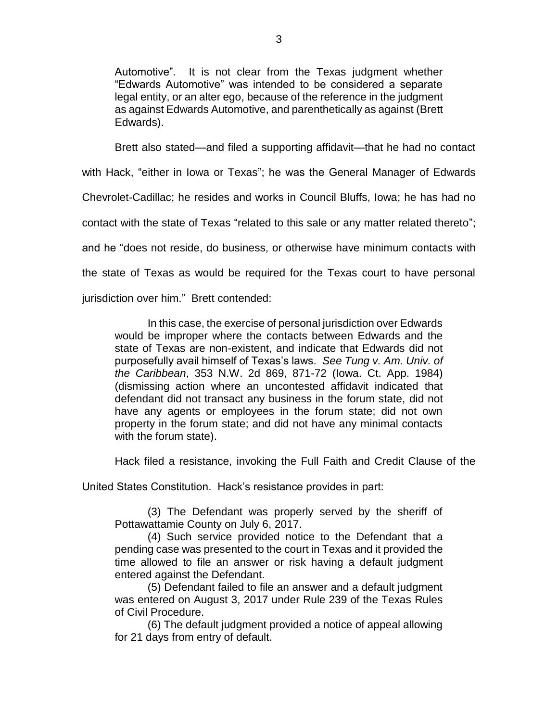Automotive". It is not clear from the Texas judgment whether "Edwards Automotive" was intended to be considered a separate legal entity, or an alter ego, because of the reference in the judgment as against Edwards Automotive, and parenthetically as against (Brett Edwards).

Brett also stated—and filed a supporting affidavit—that he had no contact

with Hack, "either in Iowa or Texas"; he was the General Manager of Edwards

Chevrolet-Cadillac; he resides and works in Council Bluffs, Iowa; he has had no

contact with the state of Texas "related to this sale or any matter related thereto";

and he "does not reside, do business, or otherwise have minimum contacts with

the state of Texas as would be required for the Texas court to have personal

jurisdiction over him." Brett contended:

In this case, the exercise of personal jurisdiction over Edwards would be improper where the contacts between Edwards and the state of Texas are non-existent, and indicate that Edwards did not purposefully avail himself of Texas's laws. *See Tung v. Am. Univ. of the Caribbean*, 353 N.W. 2d 869, 871-72 (Iowa. Ct. App. 1984) (dismissing action where an uncontested affidavit indicated that defendant did not transact any business in the forum state, did not have any agents or employees in the forum state; did not own property in the forum state; and did not have any minimal contacts with the forum state).

Hack filed a resistance, invoking the Full Faith and Credit Clause of the

United States Constitution. Hack's resistance provides in part:

(3) The Defendant was properly served by the sheriff of Pottawattamie County on July 6, 2017.

(4) Such service provided notice to the Defendant that a pending case was presented to the court in Texas and it provided the time allowed to file an answer or risk having a default judgment entered against the Defendant.

(5) Defendant failed to file an answer and a default judgment was entered on August 3, 2017 under Rule 239 of the Texas Rules of Civil Procedure.

(6) The default judgment provided a notice of appeal allowing for 21 days from entry of default.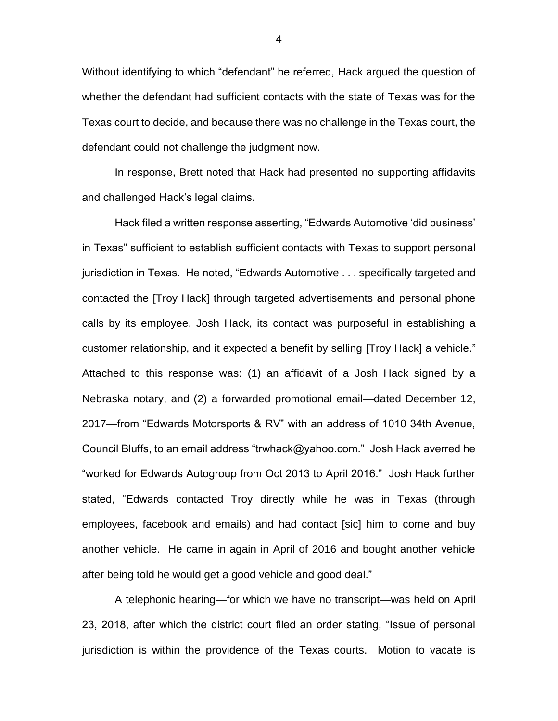Without identifying to which "defendant" he referred, Hack argued the question of whether the defendant had sufficient contacts with the state of Texas was for the Texas court to decide, and because there was no challenge in the Texas court, the defendant could not challenge the judgment now.

In response, Brett noted that Hack had presented no supporting affidavits and challenged Hack's legal claims.

Hack filed a written response asserting, "Edwards Automotive 'did business' in Texas" sufficient to establish sufficient contacts with Texas to support personal jurisdiction in Texas. He noted, "Edwards Automotive . . . specifically targeted and contacted the [Troy Hack] through targeted advertisements and personal phone calls by its employee, Josh Hack, its contact was purposeful in establishing a customer relationship, and it expected a benefit by selling [Troy Hack] a vehicle." Attached to this response was: (1) an affidavit of a Josh Hack signed by a Nebraska notary, and (2) a forwarded promotional email—dated December 12, 2017—from "Edwards Motorsports & RV" with an address of 1010 34th Avenue, Council Bluffs, to an email address "trwhack@yahoo.com." Josh Hack averred he "worked for Edwards Autogroup from Oct 2013 to April 2016." Josh Hack further stated, "Edwards contacted Troy directly while he was in Texas (through employees, facebook and emails) and had contact [sic] him to come and buy another vehicle. He came in again in April of 2016 and bought another vehicle after being told he would get a good vehicle and good deal."

A telephonic hearing—for which we have no transcript—was held on April 23, 2018, after which the district court filed an order stating, "Issue of personal jurisdiction is within the providence of the Texas courts. Motion to vacate is

4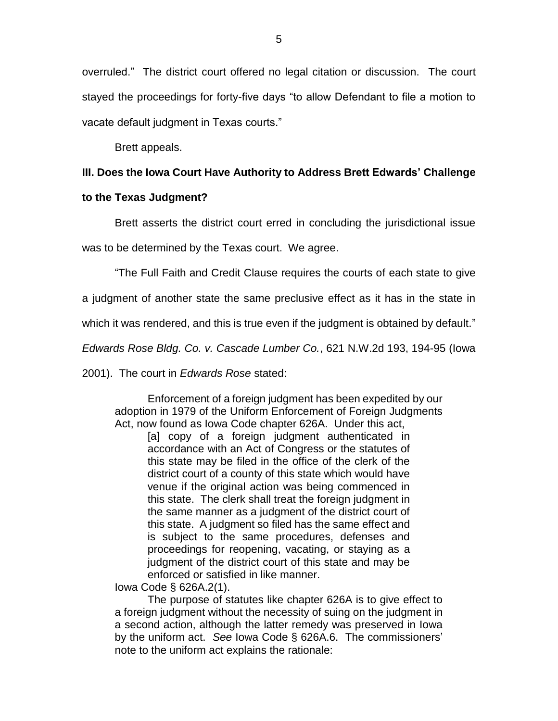overruled." The district court offered no legal citation or discussion. The court stayed the proceedings for forty-five days "to allow Defendant to file a motion to vacate default judgment in Texas courts."

Brett appeals.

# **III. Does the Iowa Court Have Authority to Address Brett Edwards' Challenge**

## **to the Texas Judgment?**

Brett asserts the district court erred in concluding the jurisdictional issue

was to be determined by the Texas court. We agree.

"The Full Faith and Credit Clause requires the courts of each state to give

a judgment of another state the same preclusive effect as it has in the state in

which it was rendered, and this is true even if the judgment is obtained by default."

*Edwards Rose Bldg. Co. v. Cascade Lumber Co.*, 621 N.W.2d 193, 194-95 (Iowa

2001). The court in *Edwards Rose* stated:

Enforcement of a foreign judgment has been expedited by our adoption in 1979 of the Uniform Enforcement of Foreign Judgments Act, now found as Iowa Code chapter 626A. Under this act,

[a] copy of a foreign judgment authenticated in accordance with an Act of Congress or the statutes of this state may be filed in the office of the clerk of the district court of a county of this state which would have venue if the original action was being commenced in this state. The clerk shall treat the foreign judgment in the same manner as a judgment of the district court of this state. A judgment so filed has the same effect and is subject to the same procedures, defenses and proceedings for reopening, vacating, or staying as a judgment of the district court of this state and may be enforced or satisfied in like manner.

Iowa Code § 626A.2(1).

The purpose of statutes like chapter 626A is to give effect to a foreign judgment without the necessity of suing on the judgment in a second action, although the latter remedy was preserved in Iowa by the uniform act. *See* Iowa Code § 626A.6. The commissioners' note to the uniform act explains the rationale: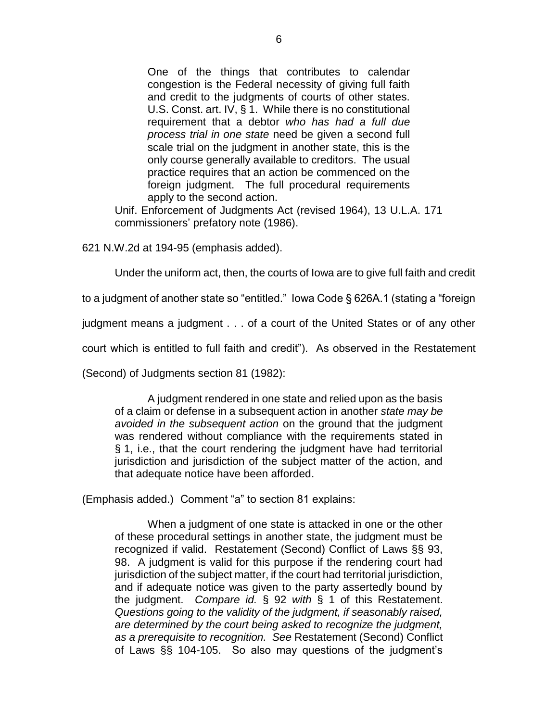One of the things that contributes to calendar congestion is the Federal necessity of giving full faith and credit to the judgments of courts of other states. U.S. Const. art. IV, § 1. While there is no constitutional requirement that a debtor *who has had a full due process trial in one state* need be given a second full scale trial on the judgment in another state, this is the only course generally available to creditors. The usual practice requires that an action be commenced on the foreign judgment. The full procedural requirements apply to the second action.

Unif. Enforcement of Judgments Act (revised 1964), 13 U.L.A. 171 commissioners' prefatory note (1986).

621 N.W.2d at 194-95 (emphasis added).

Under the uniform act, then, the courts of Iowa are to give full faith and credit

to a judgment of another state so "entitled." Iowa Code § 626A.1 (stating a "foreign

judgment means a judgment . . . of a court of the United States or of any other

court which is entitled to full faith and credit"). As observed in the Restatement

(Second) of Judgments section 81 (1982):

A judgment rendered in one state and relied upon as the basis of a claim or defense in a subsequent action in another *state may be avoided in the subsequent action* on the ground that the judgment was rendered without compliance with the requirements stated in § 1, i.e., that the court rendering the judgment have had territorial jurisdiction and jurisdiction of the subject matter of the action, and that adequate notice have been afforded.

(Emphasis added.) Comment "a" to section 81 explains:

When a judgment of one state is attacked in one or the other of these procedural settings in another state, the judgment must be recognized if valid. Restatement (Second) Conflict of Laws §§ 93, 98. A judgment is valid for this purpose if the rendering court had jurisdiction of the subject matter, if the court had territorial jurisdiction, and if adequate notice was given to the party assertedly bound by the judgment. *Compare id.* § 92 *with* § 1 of this Restatement. *Questions going to the validity of the judgment, if seasonably raised, are determined by the court being asked to recognize the judgment, as a prerequisite to recognition. See* Restatement (Second) Conflict of Laws §§ 104-105. So also may questions of the judgment's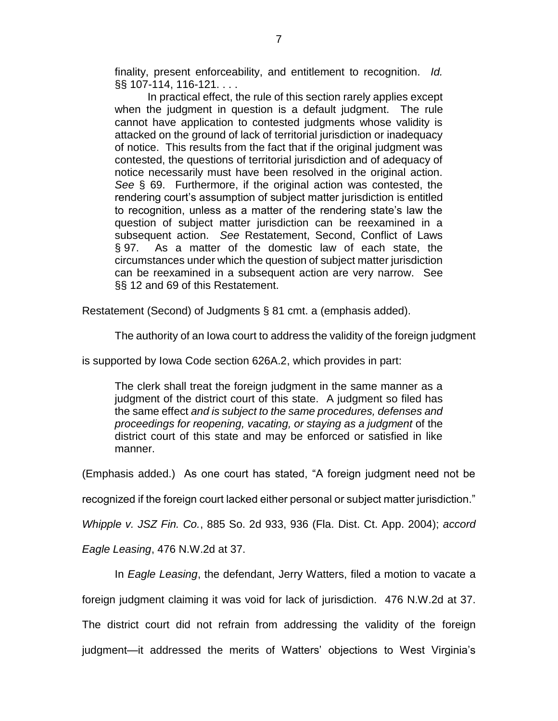finality, present enforceability, and entitlement to recognition. *Id.* §§ 107-114, 116-121. . . .

In practical effect, the rule of this section rarely applies except when the judgment in question is a default judgment. The rule cannot have application to contested judgments whose validity is attacked on the ground of lack of territorial jurisdiction or inadequacy of notice. This results from the fact that if the original judgment was contested, the questions of territorial jurisdiction and of adequacy of notice necessarily must have been resolved in the original action. *See* § 69. Furthermore, if the original action was contested, the rendering court's assumption of subject matter jurisdiction is entitled to recognition, unless as a matter of the rendering state's law the question of subject matter jurisdiction can be reexamined in a subsequent action. *See* Restatement, Second, Conflict of Laws § 97. As a matter of the domestic law of each state, the circumstances under which the question of subject matter jurisdiction can be reexamined in a subsequent action are very narrow. See §§ 12 and 69 of this Restatement.

Restatement (Second) of Judgments § 81 cmt. a (emphasis added).

The authority of an Iowa court to address the validity of the foreign judgment

is supported by Iowa Code section 626A.2, which provides in part:

The clerk shall treat the foreign judgment in the same manner as a judgment of the district court of this state. A judgment so filed has the same effect *and is subject to the same procedures, defenses and proceedings for reopening, vacating, or staying as a judgment* of the district court of this state and may be enforced or satisfied in like manner.

(Emphasis added.) As one court has stated, "A foreign judgment need not be

recognized if the foreign court lacked either personal or subject matter jurisdiction."

*Whipple v. JSZ Fin. Co.*, 885 So. 2d 933, 936 (Fla. Dist. Ct. App. 2004); *accord* 

*Eagle Leasing*, 476 N.W.2d at 37.

In *Eagle Leasing*, the defendant, Jerry Watters, filed a motion to vacate a

foreign judgment claiming it was void for lack of jurisdiction. 476 N.W.2d at 37.

The district court did not refrain from addressing the validity of the foreign

judgment—it addressed the merits of Watters' objections to West Virginia's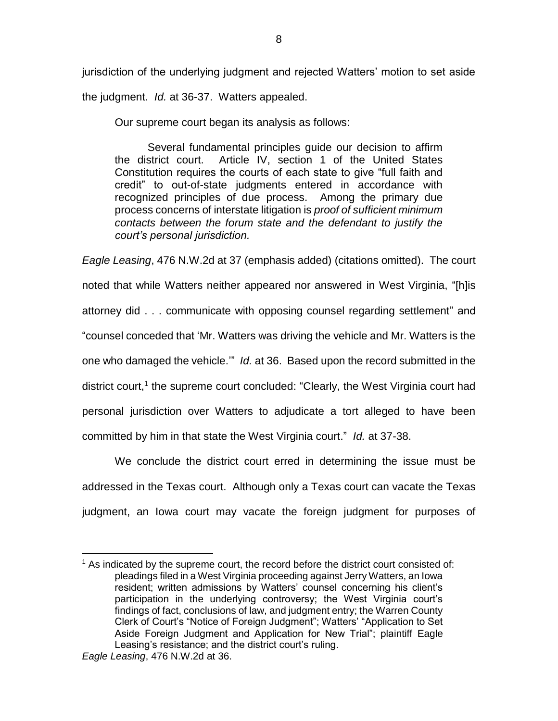jurisdiction of the underlying judgment and rejected Watters' motion to set aside the judgment. *Id.* at 36-37. Watters appealed.

Our supreme court began its analysis as follows:

Several fundamental principles guide our decision to affirm the district court. Article IV, section 1 of the United States Constitution requires the courts of each state to give "full faith and credit" to out-of-state judgments entered in accordance with recognized principles of due process. Among the primary due process concerns of interstate litigation is *proof of sufficient minimum contacts between the forum state and the defendant to justify the court's personal jurisdiction.*

*Eagle Leasing*, 476 N.W.2d at 37 (emphasis added) (citations omitted). The court noted that while Watters neither appeared nor answered in West Virginia, "[h]is attorney did . . . communicate with opposing counsel regarding settlement" and "counsel conceded that 'Mr. Watters was driving the vehicle and Mr. Watters is the one who damaged the vehicle.'" *Id.* at 36. Based upon the record submitted in the district court,<sup>1</sup> the supreme court concluded: "Clearly, the West Virginia court had personal jurisdiction over Watters to adjudicate a tort alleged to have been committed by him in that state the West Virginia court." *Id.* at 37-38.

We conclude the district court erred in determining the issue must be addressed in the Texas court. Although only a Texas court can vacate the Texas judgment, an Iowa court may vacate the foreign judgment for purposes of

 $\overline{a}$  $<sup>1</sup>$  As indicated by the supreme court, the record before the district court consisted of:</sup> pleadings filed in a West Virginia proceeding against Jerry Watters, an Iowa resident; written admissions by Watters' counsel concerning his client's participation in the underlying controversy; the West Virginia court's findings of fact, conclusions of law, and judgment entry; the Warren County Clerk of Court's "Notice of Foreign Judgment"; Watters' "Application to Set Aside Foreign Judgment and Application for New Trial"; plaintiff Eagle Leasing's resistance; and the district court's ruling.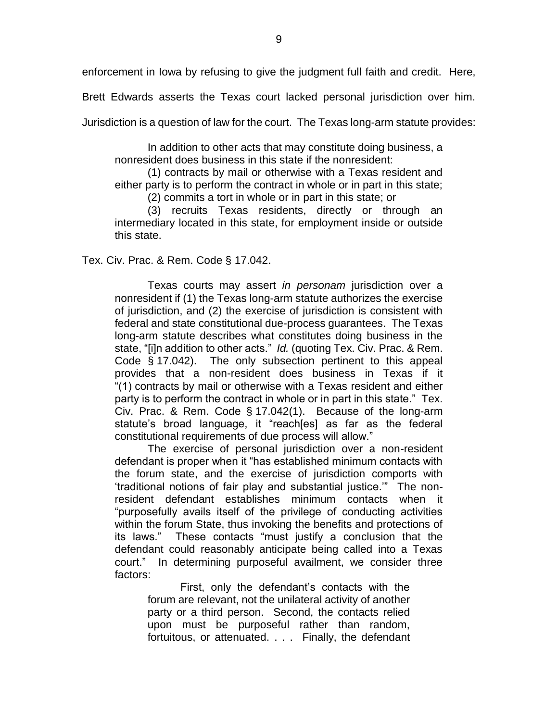enforcement in Iowa by refusing to give the judgment full faith and credit. Here,

Brett Edwards asserts the Texas court lacked personal jurisdiction over him.

Jurisdiction is a question of law for the court. The Texas long-arm statute provides:

In addition to other acts that may constitute doing business, a nonresident does business in this state if the nonresident:

(1) contracts by mail or otherwise with a Texas resident and either party is to perform the contract in whole or in part in this state;

(2) commits a tort in whole or in part in this state; or

(3) recruits Texas residents, directly or through an intermediary located in this state, for employment inside or outside this state.

Tex. Civ. Prac. & Rem. Code § 17.042.

Texas courts may assert *in personam* jurisdiction over a nonresident if (1) the Texas long-arm statute authorizes the exercise of jurisdiction, and (2) the exercise of jurisdiction is consistent with federal and state constitutional due-process guarantees. The Texas long-arm statute describes what constitutes doing business in the state, "[i]n addition to other acts." *Id.* (quoting Tex. Civ. Prac. & Rem. Code § 17.042). The only subsection pertinent to this appeal provides that a non-resident does business in Texas if it "(1) contracts by mail or otherwise with a Texas resident and either party is to perform the contract in whole or in part in this state." Tex. Civ. Prac. & Rem. Code § 17.042(1). Because of the long-arm statute's broad language, it "reach[es] as far as the federal constitutional requirements of due process will allow."

The exercise of personal jurisdiction over a non-resident defendant is proper when it "has established minimum contacts with the forum state, and the exercise of jurisdiction comports with 'traditional notions of fair play and substantial justice.'" The nonresident defendant establishes minimum contacts when it "purposefully avails itself of the privilege of conducting activities within the forum State, thus invoking the benefits and protections of its laws." These contacts "must justify a conclusion that the defendant could reasonably anticipate being called into a Texas court." In determining purposeful availment, we consider three factors:

First, only the defendant's contacts with the forum are relevant, not the unilateral activity of another party or a third person. Second, the contacts relied upon must be purposeful rather than random, fortuitous, or attenuated. . . . Finally, the defendant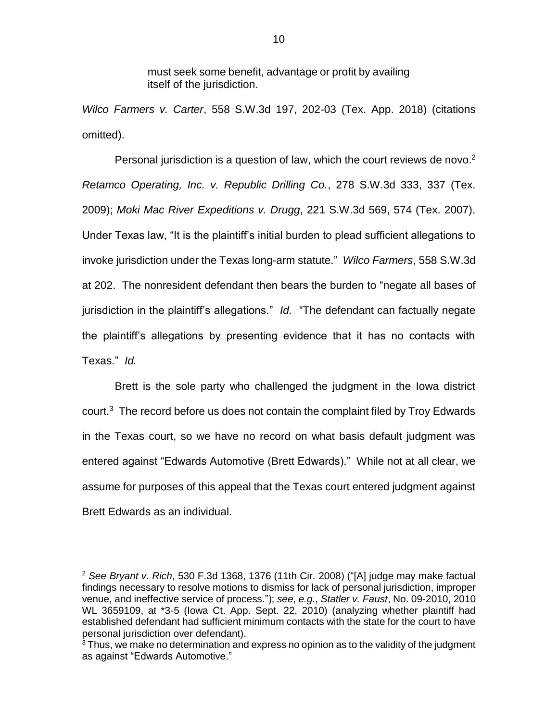must seek some benefit, advantage or profit by availing itself of the jurisdiction.

*Wilco Farmers v. Carter*, 558 S.W.3d 197, 202-03 (Tex. App. 2018) (citations omitted).

Personal jurisdiction is a question of law, which the court reviews de novo.<sup>2</sup> *Retamco Operating, Inc. v. Republic Drilling Co.*, 278 S.W.3d 333, 337 (Tex. 2009); *Moki Mac River Expeditions v. Drugg*, 221 S.W.3d 569, 574 (Tex. 2007). Under Texas law, "It is the plaintiff's initial burden to plead sufficient allegations to invoke jurisdiction under the Texas long-arm statute." *Wilco Farmers*, 558 S.W.3d at 202. The nonresident defendant then bears the burden to "negate all bases of jurisdiction in the plaintiff's allegations." *Id.* "The defendant can factually negate the plaintiff's allegations by presenting evidence that it has no contacts with Texas." *Id.* 

Brett is the sole party who challenged the judgment in the Iowa district court. $3$  The record before us does not contain the complaint filed by Troy Edwards in the Texas court, so we have no record on what basis default judgment was entered against "Edwards Automotive (Brett Edwards)." While not at all clear, we assume for purposes of this appeal that the Texas court entered judgment against Brett Edwards as an individual.

 $\overline{a}$ 

<sup>2</sup> *See Bryant v. Rich*, 530 F.3d 1368, 1376 (11th Cir. 2008) ("[A] judge may make factual findings necessary to resolve motions to dismiss for lack of personal jurisdiction, improper venue, and ineffective service of process."); *see*, *e.g.*, *Statler v. Faust*, No. 09-2010, 2010 WL 3659109, at \*3-5 (Iowa Ct. App. Sept. 22, 2010) (analyzing whether plaintiff had established defendant had sufficient minimum contacts with the state for the court to have personal jurisdiction over defendant).

 $3$  Thus, we make no determination and express no opinion as to the validity of the judgment as against "Edwards Automotive."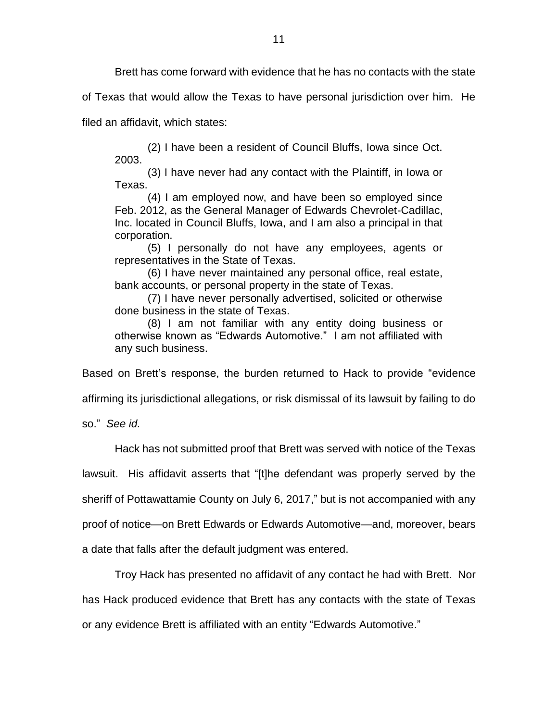Brett has come forward with evidence that he has no contacts with the state

of Texas that would allow the Texas to have personal jurisdiction over him. He

filed an affidavit, which states:

(2) I have been a resident of Council Bluffs, Iowa since Oct. 2003.

(3) I have never had any contact with the Plaintiff, in Iowa or Texas.

(4) I am employed now, and have been so employed since Feb. 2012, as the General Manager of Edwards Chevrolet-Cadillac, Inc. located in Council Bluffs, Iowa, and I am also a principal in that corporation.

(5) I personally do not have any employees, agents or representatives in the State of Texas.

(6) I have never maintained any personal office, real estate, bank accounts, or personal property in the state of Texas.

(7) I have never personally advertised, solicited or otherwise done business in the state of Texas.

(8) I am not familiar with any entity doing business or otherwise known as "Edwards Automotive." I am not affiliated with any such business.

Based on Brett's response, the burden returned to Hack to provide "evidence

affirming its jurisdictional allegations, or risk dismissal of its lawsuit by failing to do

so." *See id.* 

Hack has not submitted proof that Brett was served with notice of the Texas

lawsuit. His affidavit asserts that "[t]he defendant was properly served by the

sheriff of Pottawattamie County on July 6, 2017," but is not accompanied with any

proof of notice—on Brett Edwards or Edwards Automotive—and, moreover, bears

a date that falls after the default judgment was entered.

Troy Hack has presented no affidavit of any contact he had with Brett. Nor has Hack produced evidence that Brett has any contacts with the state of Texas or any evidence Brett is affiliated with an entity "Edwards Automotive."